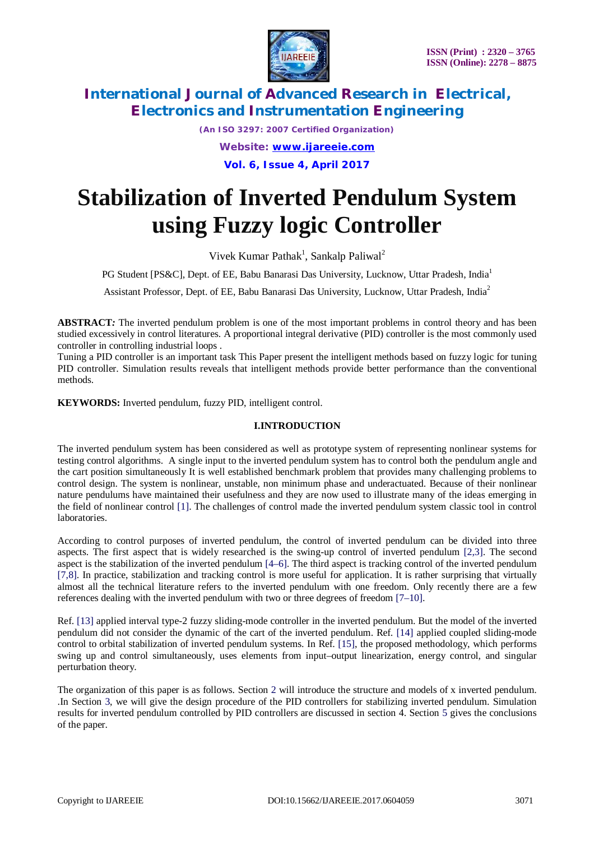

*(An ISO 3297: 2007 Certified Organization) Website: [www.ijareeie.com](http://www.ijareeie.com)* **Vol. 6, Issue 4, April 2017**

# **Stabilization of Inverted Pendulum System using Fuzzy logic Controller**

Vivek Kumar Pathak<sup>1</sup>, Sankalp Paliwal<sup>2</sup>

PG Student [PS&C], Dept. of EE, Babu Banarasi Das University, Lucknow, Uttar Pradesh, India<sup>1</sup>

Assistant Professor, Dept. of EE, Babu Banarasi Das University, Lucknow, Uttar Pradesh, India<sup>2</sup>

**ABSTRACT***:* The inverted pendulum problem is one of the most important problems in control theory and has been studied excessively in control literatures. A proportional integral derivative (PID) controller is the most commonly used controller in controlling industrial loops .

Tuning a PID controller is an important task This Paper present the intelligent methods based on fuzzy logic for tuning PID controller. Simulation results reveals that intelligent methods provide better performance than the conventional methods.

**KEYWORDS:** Inverted pendulum, fuzzy PID, intelligent control.

### **I.INTRODUCTION**

The inverted pendulum system has been considered as well as prototype system of representing nonlinear systems for testing control algorithms. A single input to the inverted pendulum system has to control both the pendulum angle and the cart position simultaneously It is well established benchmark problem that provides many challenging problems to control design. The system is nonlinear, unstable, non minimum phase and underactuated. Because of their nonlinear nature pendulums have maintained their usefulness and they are now used to illustrate many of the ideas emerging in the field of nonlinear control [1]. The challenges of control made the inverted pendulum system classic tool in control laboratories.

According to control purposes of inverted pendulum, the control of inverted pendulum can be divided into three aspects. The first aspect that is widely researched is the swing-up control of inverted pendulum [2,3]. The second aspect is the stabilization of the inverted pendulum [4–6]. The third aspect is tracking control of the inverted pendulum [7,8]. In practice, stabilization and tracking control is more useful for application. It is rather surprising that virtually almost all the technical literature refers to the inverted pendulum with one freedom. Only recently there are a few references dealing with the inverted pendulum with two or three degrees of freedom [7–10].

Ref. [13] applied interval type-2 fuzzy sliding-mode controller in the inverted pendulum. But the model of the inverted pendulum did not consider the dynamic of the cart of the inverted pendulum. Ref. [14] applied coupled sliding-mode control to orbital stabilization of inverted pendulum systems. In Ref. [15], the proposed methodology, which performs swing up and control simultaneously, uses elements from input–output linearization, energy control, and singular perturbation theory.

The organization of this paper is as follows. Section 2 will introduce the structure and models of x inverted pendulum. .In Section 3, we will give the design procedure of the PID controllers for stabilizing inverted pendulum. Simulation results for inverted pendulum controlled by PID controllers are discussed in section 4. Section 5 gives the conclusions of the paper.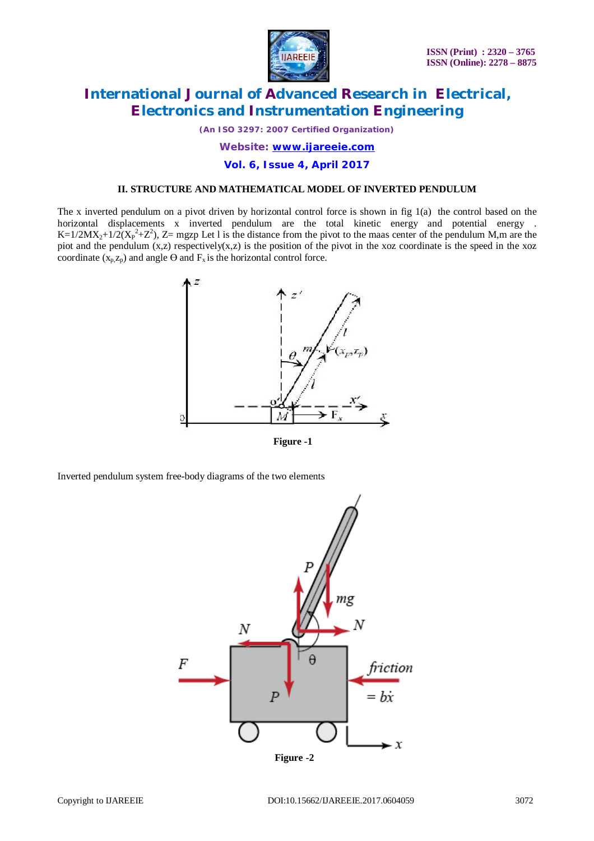

*(An ISO 3297: 2007 Certified Organization)*

*Website: [www.ijareeie.com](http://www.ijareeie.com)*

**Vol. 6, Issue 4, April 2017**

## **II. STRUCTURE AND MATHEMATICAL MODEL OF INVERTED PENDULUM**

The x inverted pendulum on a pivot driven by horizontal control force is shown in fig 1(a) the control based on the horizontal displacements x inverted pendulum are the total kinetic energy and potential energy . K=1/2MX<sub>2</sub>+1/2( $(X_P^2 + Z^2)$ , Z= mgzp Let l is the distance from the pivot to the maas center of the pendulum M,m are the piot and the pendulum (x,z) respectively(x,z) is the position of the pivot in the xoz coordinate is the speed in the xoz coordinate  $(x_p, z_p)$  and angle  $\Theta$  and  $F_x$  is the horizontal control force.



 **Figure -1**

Inverted pendulum system free-body diagrams of the two elements

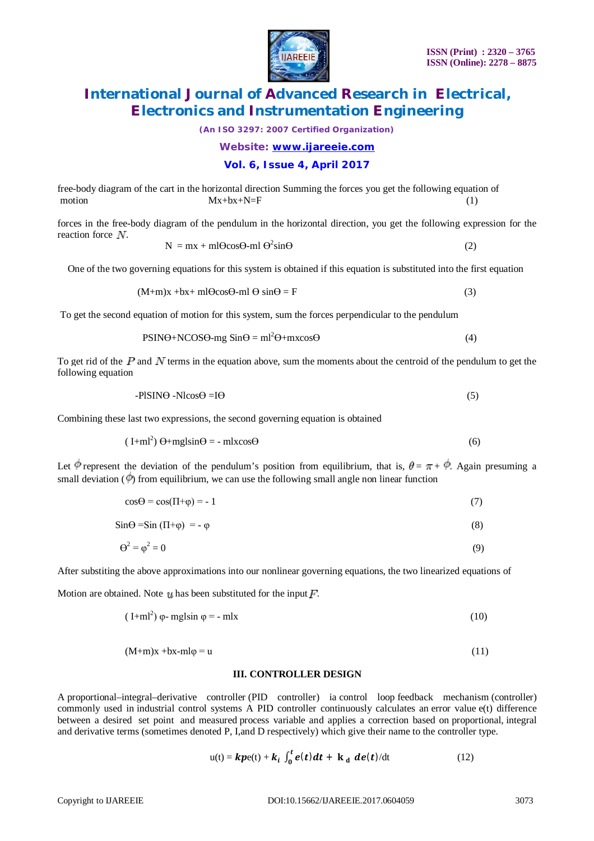

*(An ISO 3297: 2007 Certified Organization)*

*Website: [www.ijareeie.com](http://www.ijareeie.com)*

### **Vol. 6, Issue 4, April 2017**

free-body diagram of the cart in the horizontal direction Summing the forces you get the following equation of  $Mx+bx+N=F$  (1)

forces in the free-body diagram of the pendulum in the horizontal direction, you get the following expression for the reaction force  $N$ .

$$
N = mx + ml\Theta\cos\Theta \cdot ml\ \Theta^2 \sin\Theta \tag{2}
$$

One of the two governing equations for this system is obtained if this equation is substituted into the first equation

$$
(M+m)x + bx + m1\Theta\cos\Theta - m1\Theta \sin\Theta = F
$$
 (3)

To get the second equation of motion for this system, sum the forces perpendicular to the pendulum

$$
PSIN\Theta + NCOS\Theta - mg \sin\Theta = ml^2\Theta + mx\cos\Theta
$$
\n(4)

To get rid of the  $P$  and  $N$  terms in the equation above, sum the moments about the centroid of the pendulum to get the following equation

$$
-PISIN\Theta - Nl\cos\Theta = I\Theta
$$
 (5)

Combining these last two expressions, the second governing equation is obtained

$$
(I+mI2) \Theta + mglsin\Theta = - mlxcos\Theta
$$
 (6)

Let  $\phi$  represent the deviation of the pendulum's position from equilibrium, that is,  $\theta = \pi + \phi$ . Again presuming a small deviation  $(\phi)$  from equilibrium, we can use the following small angle non linear function

$$
\cos\Theta = \cos(\Pi + \varphi) = -1\tag{7}
$$

 $\sin\Theta = \sin(\Pi + \phi) = -\phi$  (8)

$$
\Theta^2 = \varphi^2 = 0 \tag{9}
$$

After substiting the above approximations into our nonlinear governing equations, the two linearized equations of

Motion are obtained. Note  $\boldsymbol{\psi}$  has been substituted for the input  $\boldsymbol{F}$ .

$$
(I+mI2) \varphi - mglsin \varphi = -mIx
$$
 (10)

$$
(M+m)x + bx - m\n\phi = u \tag{11}
$$

### **III. CONTROLLER DESIGN**

A proportional–integral–derivative controller (PID controller) ia control loop feedback mechanism (controller) commonly used in industrial control systems A PID controller continuously calculates an error value e(t) difference between a desired set point and measured process variable and applies a correction based on proportional, integral and derivative terms (sometimes denoted P, I,and D respectively) which give their name to the controller type.

$$
u(t) = kpe(t) + k_i \int_0^t e(t) dt + k_d \, de(t)/dt \qquad (12)
$$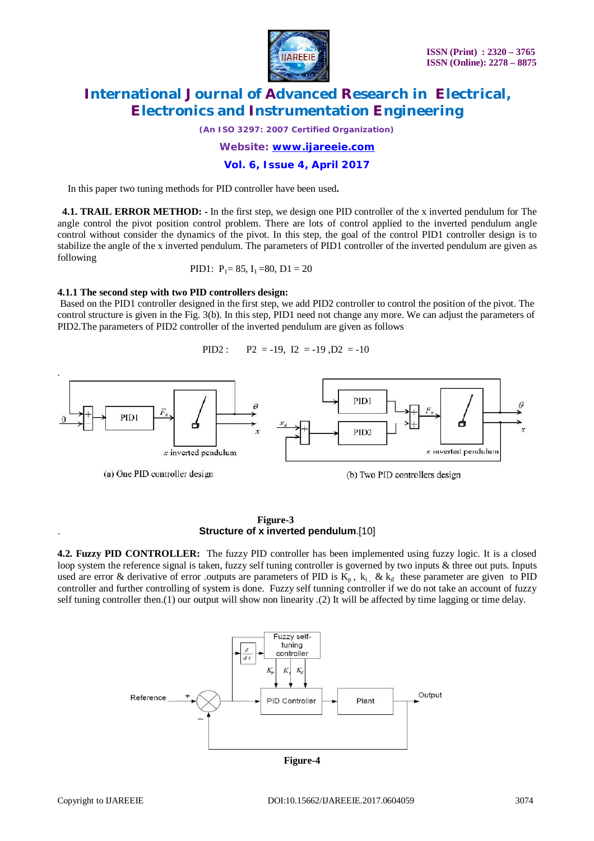

*(An ISO 3297: 2007 Certified Organization)*

*Website: [www.ijareeie.com](http://www.ijareeie.com)*

### **Vol. 6, Issue 4, April 2017**

In this paper two tuning methods for PID controller have been used**.** 

 **4.1. TRAIL ERROR METHOD: -** In the first step, we design one PID controller of the x inverted pendulum for The angle control the pivot position control problem. There are lots of control applied to the inverted pendulum angle control without consider the dynamics of the pivot. In this step, the goal of the control PID1 controller design is to stabilize the angle of the x inverted pendulum. The parameters of PID1 controller of the inverted pendulum are given as following

PID1: 
$$
P_1 = 85
$$
,  $I_1 = 80$ ,  $D_1 = 20$ 

### **4.1.1 The second step with two PID controllers design:**

Based on the PID1 controller designed in the first step, we add PID2 controller to control the position of the pivot. The control structure is given in the Fig. 3(b). In this step, PID1 need not change any more. We can adjust the parameters of PID2.The parameters of PID2 controller of the inverted pendulum are given as follows

PID2 :  $P2 = -19$ ,  $I2 = -19$ ,  $D2 = -10$ 



 **Figure-3** . **Structure of x inverted pendulum**.[10]

**4.2. Fuzzy PID CONTROLLER:** The fuzzy PID controller has been implemented using fuzzy logic. It is a closed loop system the reference signal is taken, fuzzy self tuning controller is governed by two inputs & three out puts. Inputs used are error & derivative of error .outputs are parameters of PID is  $K_p$ ,  $k_i$ , &  $k_d$  these parameter are given to PID controller and further controlling of system is done. Fuzzy self tunning controller if we do not take an account of fuzzy self tuning controller then.(1) our output will show non linearity .(2) It will be affected by time lagging or time delay.



**Figure-4**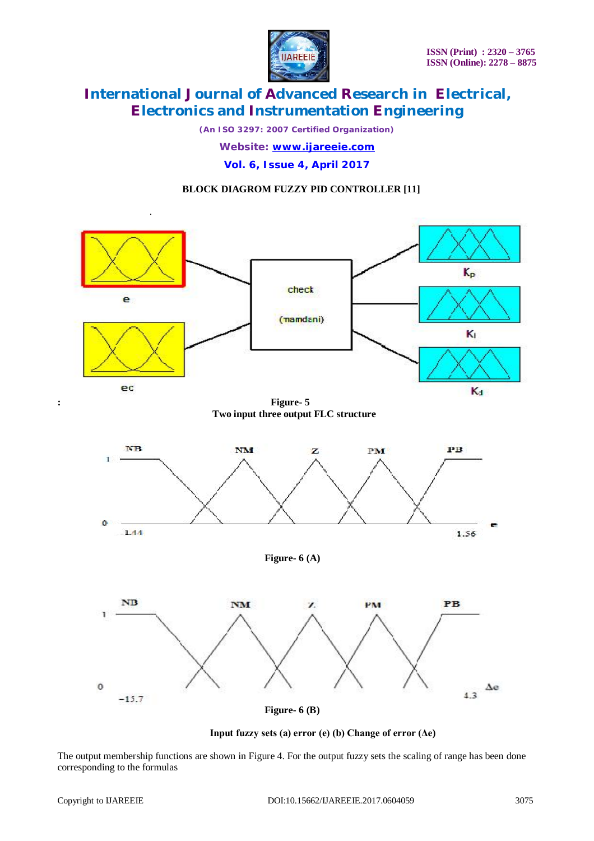

*(An ISO 3297: 2007 Certified Organization) Website: [www.ijareeie.com](http://www.ijareeie.com)*

**Vol. 6, Issue 4, April 2017**

# **BLOCK DIAGROM FUZZY PID CONTROLLER [11]**



**: Figure- 5 Two input three output FLC structure** 



**Figure- 6 (A)** 



**Figure- 6 (B)**

**Input fuzzy sets (a) error (e) (b) Change of error (Δe)**

The output membership functions are shown in Figure 4. For the output fuzzy sets the scaling of range has been done corresponding to the formulas

.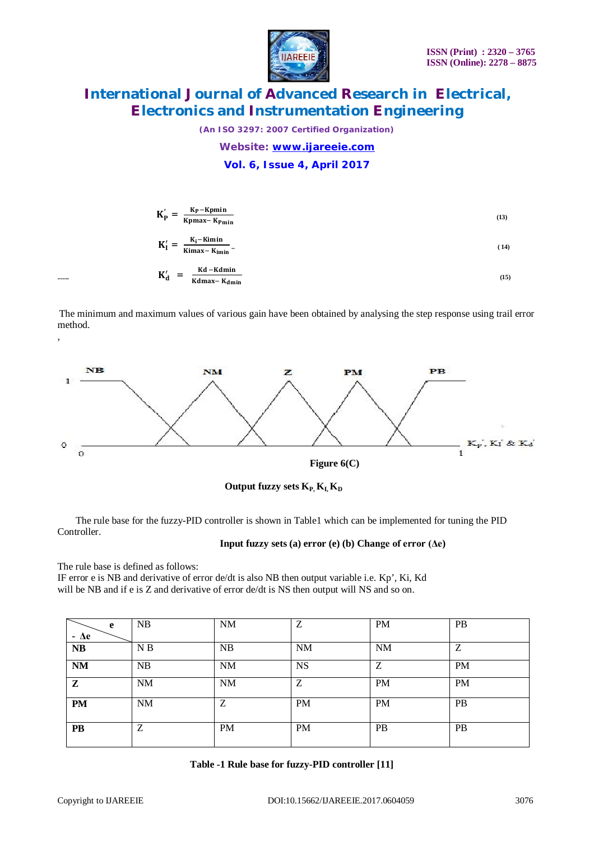

*(An ISO 3297: 2007 Certified Organization) Website: [www.ijareeie.com](http://www.ijareeie.com)*

**Vol. 6, Issue 4, April 2017**

| $K_{p}$    | $K_P - Kpmin$<br>=<br>Kpmax-Kp <sub>min</sub> | (13) |
|------------|-----------------------------------------------|------|
| $K_I'$     | $\frac{K_i-Kimin}{Kimax-Kimin}$ .<br>$=$      | (14) |
| $K_d'$<br> | Kd – Kdmin<br>$=$<br>Kdmax-K <sub>dmin</sub>  | (15) |

The minimum and maximum values of various gain have been obtained by analysing the step response using trail error method.



 **Output fuzzy sets**  $K_{P_1}K_{I_2}K_{D_1}$ 

 The rule base for the fuzzy-PID controller is shown in Table1 which can be implemented for tuning the PID Controller.

### **Input fuzzy sets (a) error (e) (b) Change of error (Δe)**

The rule base is defined as follows:

,

IF error e is NB and derivative of error de/dt is also NB then output variable i.e. Kp', Ki, Kd will be NB and if e is Z and derivative of error de/dt is NS then output will NS and so on.

| e           | NB             | <b>NM</b> | Z         | <b>PM</b> | PB        |
|-------------|----------------|-----------|-----------|-----------|-----------|
| $-\Delta e$ |                |           |           |           |           |
| NB          | N <sub>B</sub> | <b>NB</b> | NM        | <b>NM</b> | Z         |
| <b>NM</b>   | NB             | <b>NM</b> | <b>NS</b> | Ζ         | <b>PM</b> |
| ${\bf z}$   | NM             | <b>NM</b> | Ζ         | <b>PM</b> | <b>PM</b> |
| <b>PM</b>   | <b>NM</b>      | Ζ         | <b>PM</b> | PM        | <b>PB</b> |
| <b>PB</b>   | Ζ              | <b>PM</b> | <b>PM</b> | <b>PB</b> | PB        |

|  |  |  | Table -1 Rule base for fuzzy-PID controller [11] |
|--|--|--|--------------------------------------------------|
|--|--|--|--------------------------------------------------|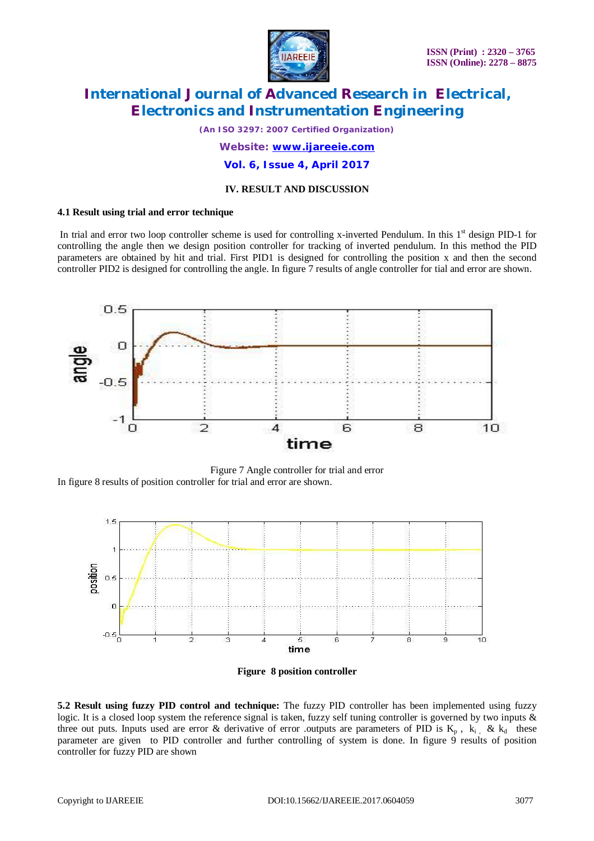

*(An ISO 3297: 2007 Certified Organization)*

*Website: [www.ijareeie.com](http://www.ijareeie.com)*

**Vol. 6, Issue 4, April 2017**

### **IV. RESULT AND DISCUSSION**

### **4.1 Result using trial and error technique**

In trial and error two loop controller scheme is used for controlling x-inverted Pendulum. In this 1<sup>st</sup> design PID-1 for controlling the angle then we design position controller for tracking of inverted pendulum. In this method the PID parameters are obtained by hit and trial. First PID1 is designed for controlling the position x and then the second controller PID2 is designed for controlling the angle. In figure 7 results of angle controller for tial and error are shown.



Figure 7 Angle controller for trial and error In figure 8 results of position controller for trial and error are shown.





**5.2 Result using fuzzy PID control and technique:** The fuzzy PID controller has been implemented using fuzzy logic. It is a closed loop system the reference signal is taken, fuzzy self tuning controller is governed by two inputs & three out puts. Inputs used are error & derivative of error .outputs are parameters of PID is  $K_p$ ,  $k_i$ , &  $k_d$  these parameter are given to PID controller and further controlling of system is done. In figure 9 results of position controller for fuzzy PID are shown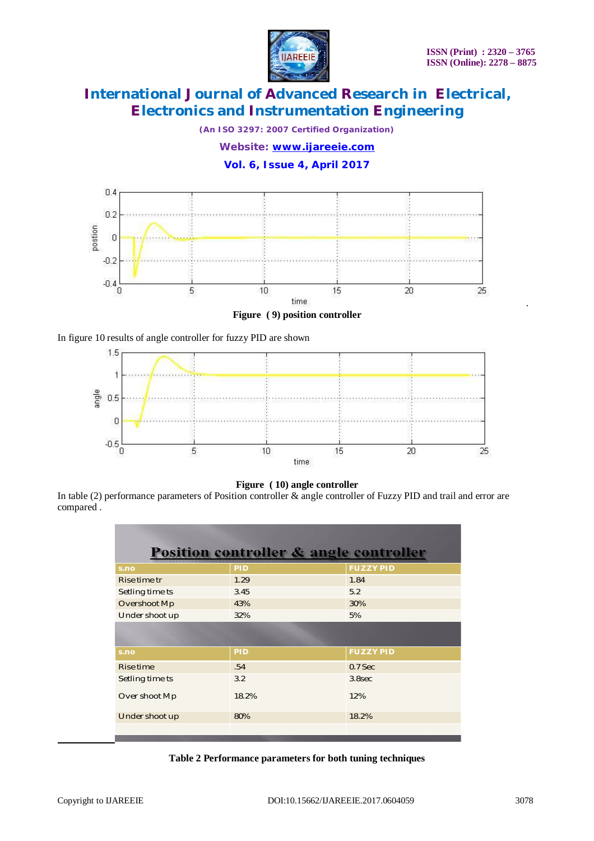.



# **International Journal of Advanced Research in Electrical, Electronics and Instrumentation Engineering**

*(An ISO 3297: 2007 Certified Organization)*

*Website: [www.ijareeie.com](http://www.ijareeie.com)*

**Vol. 6, Issue 4, April 2017**



**Figure ( 9) position controller**





**Figure ( 10) angle controller**

In table (2) performance parameters of Position controller & angle controller of Fuzzy PID and trail and error are compared .

| <b>Position controller &amp; angle controller</b> |            |                  |  |  |  |  |  |
|---------------------------------------------------|------------|------------------|--|--|--|--|--|
| s.no                                              | <b>PID</b> | <b>FUZZY PID</b> |  |  |  |  |  |
| Rise time tr                                      | 1.29       | 1.84             |  |  |  |  |  |
| Setling time ts                                   | 3.45       | 5.2              |  |  |  |  |  |
| Overshoot Mp                                      | 43%        | 30%              |  |  |  |  |  |
| Under shoot up                                    | 32%        | 5%               |  |  |  |  |  |
|                                                   |            |                  |  |  |  |  |  |
|                                                   |            |                  |  |  |  |  |  |
| s.no                                              | <b>PID</b> | <b>FUZZY PID</b> |  |  |  |  |  |
| Rise time                                         | .54        | $0.7$ Sec        |  |  |  |  |  |
| Setling time ts                                   | 3.2        | $3.8$ sec        |  |  |  |  |  |
| Over shoot Mp                                     | 18.2%      | 12%              |  |  |  |  |  |
| Under shoot up                                    | 80%        | 18.2%            |  |  |  |  |  |
|                                                   |            |                  |  |  |  |  |  |

**Table 2 Performance parameters for both tuning techniques**